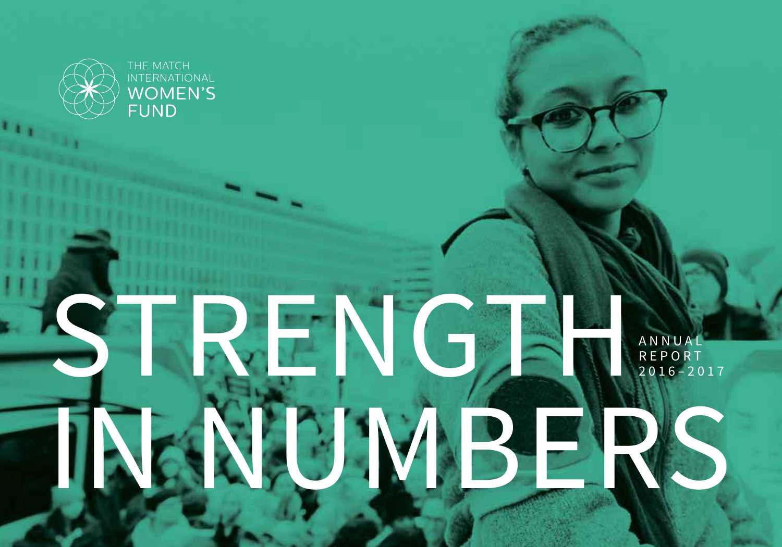

RENGT

UNBE

### A N N U A L R E P O R T 2016–2017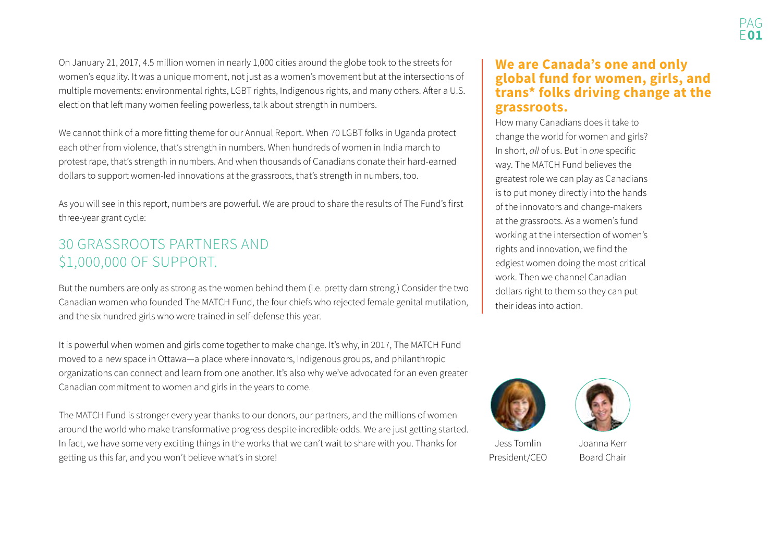On January 21, 2017, 4.5 million women in nearly 1,000 cities around the globe took to the streets for women's equality. It was a unique moment, not just as a women's movement but at the intersections of multiple movements: environmental rights, LGBT rights, Indigenous rights, and many others. After a U.S. election that left many women feeling powerless, talk about strength in numbers.

We cannot think of a more fitting theme for our Annual Report. When 70 LGBT folks in Uganda protect each other from violence, that's strength in numbers. When hundreds of women in India march to protest rape, that's strength in numbers. And when thousands of Canadians donate their hard-earned dollars to support women-led innovations at the grassroots, that's strength in numbers, too.

As you will see in this report, numbers are powerful. We are proud to share the results of The Fund's first three-year grant cycle:

### 30 GRASSROOTS PARTNERS AND \$1,000,000 OF SUPPORT.

But the numbers are only as strong as the women behind them (i.e. pretty darn strong.) Consider the two Canadian women who founded The MATCH Fund, the four chiefs who rejected female genital mutilation, and the six hundred girls who were trained in self-defense this year.

It is powerful when women and girls come together to make change. It's why, in 2017, The MATCH Fund moved to a new space in Ottawa—a place where innovators, Indigenous groups, and philanthropic organizations can connect and learn from one another. It's also why we've advocated for an even greater Canadian commitment to women and girls in the years to come.

The MATCH Fund is stronger every year thanks to our donors, our partners, and the millions of women around the world who make transformative progress despite incredible odds. We are just getting started. In fact, we have some very exciting things in the works that we can't wait to share with you. Thanks for getting us this far, and you won't believe what's in store!

#### **We are Canada's one and only global fund for women, girls, and trans\* folks driving change at the grassroots.**

How many Canadians does it take to change the world for women and girls? In short, *all* of us. But in *one* specific way. The MATCH Fund believes the greatest role we can play as Canadians is to put money directly into the hands of the innovators and change-makers at the grassroots. As a women's fund working at the intersection of women's rights and innovation, we find the edgiest women doing the most critical work. Then we channel Canadian dollars right to them so they can put their ideas into action.





Jess TomlinPresident/CEO

Joanna KerrBoard Chair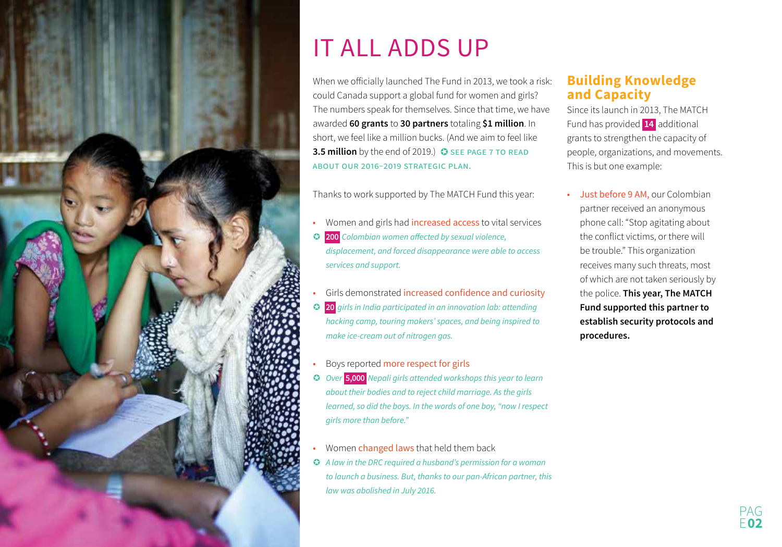

# IT ALL ADDS UP

When we officially launched The Fund in 2013, we took a risk: could Canada support a global fund for women and girls? The numbers speak for themselves. Since that time, we have awarded **60 grants** to **30 partners** totaling **\$1 million**. In short, we feel like a million bucks. (And we aim to feel like **3.5 million** by the end of 2019.) **O** SEE PAGE 7 TO READ about our 2016–2019 strategic plan.

Thanks to work supported by The MATCH Fund this year:

- •Women and girls had increased access to vital services O **200** Colombian women affected by sexual violence, displacement, and forced disappearance were able to access services and support.
- • Girls demonstrated increased confidence and curiosity **20** girls in India participated in an innovation lab: attending hacking camp, touring makers' spaces, and being inspired to make ice-cream out of nitrogen gas.

#### •Boys reported more respect for girls

- Over **5,000** Nepali girls attended workshops this year to learn about their bodies and to reject child marriage. As the girls learned, so did the boys. In the words of one boy, "now I respect girls more than before."
- •• Women changed laws that held them back
- A law in the DRC required a husband's permission for a woman to launch a business. But, thanks to our pan-African partner, this law was abolished in July 2016.

#### **Building Knowledge and Capacity**

Since its launch in 2013, The MATCH Fund has provided **14** additional grants to strengthen the capacity of people, organizations, and movements. This is but one example:

• Just before 9 AM, our Colombian partner received an anonymous phone call: "Stop agitating about the conflict victims, or there will be trouble." This organization receives many such threats, most of which are not taken seriously by the police. **This year, The MATCH Fund supported this partner to establish security protocols and procedures.**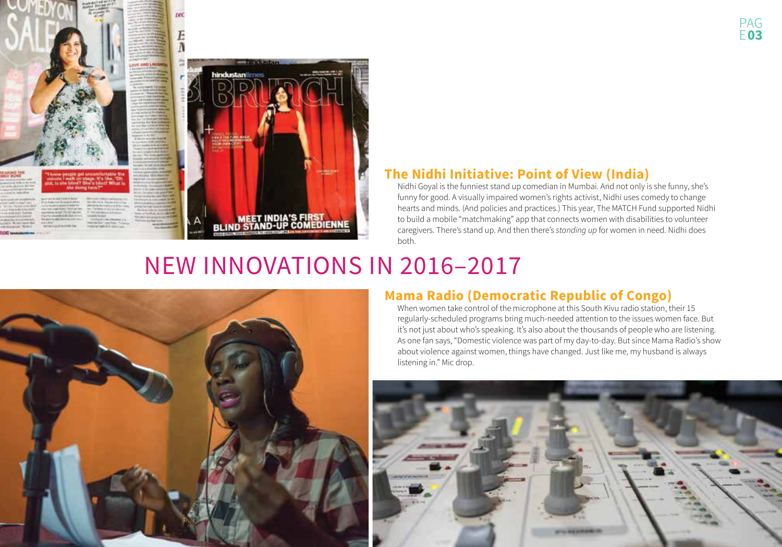



#### **The Nidhi Initiative: Point of View (India)**

Nidhi Goyal is the funniest stand up comedian in Mumbai. And not only is she funny, she's funny for good. A visually impaired women's rights activist, Nidhi uses comedy to change hearts and minds. (And policies and practices.) This year, The MATCH Fund supported Nidhi to build a mobile "matchmaking" app that connects women with disabilities to volunteer caregivers. There's stand up. And then there's *standing up* for women in need. Nidhi does both.

## NEW INNOVATIONS IN 2016–2017



#### **Mama Radio (Democratic Republic of Congo)**

When women take control of the microphone at this South Kivu radio station, their 15 regularly-scheduled programs bring much-needed attention to the issues women face. But it's not just about who's speaking. It's also about the thousands of people who are listening. As one fan says, "Domestic violence was part of my day-to-day. But since Mama Radio's show about violence against women, things have changed. Just like me, my husband is always listening in." Mic drop.

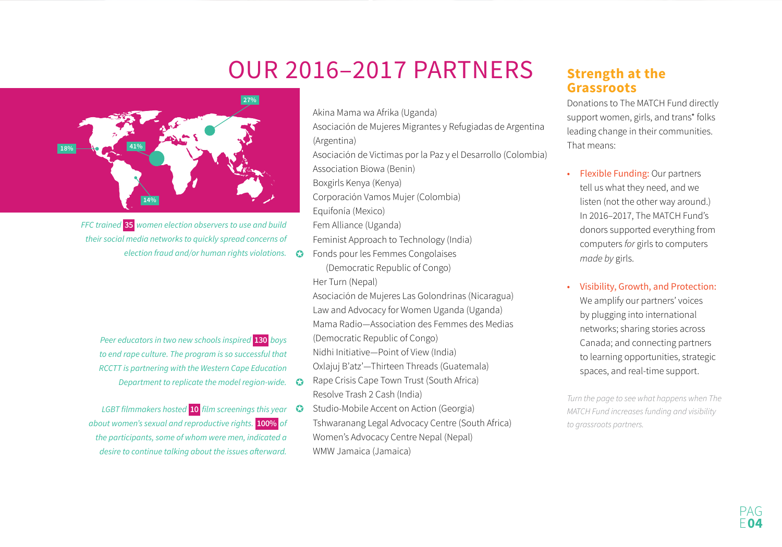### OUR 2016–2017 PARTNERS



FFC trained **35** women election observers to use and build their social media networks to quickly spread concerns of election fraud and/or human rights violations.  $\bullet$ 

Peer educators in two new schools inspired **130** boys to end rape culture. The program is so successful that RCCTT is partnering with the Western Cape Education Department to replicate the model region-wide.  $\bullet$ 

LGBT filmmakers hosted **10** film screenings this year about women's sexual and reproductive rights. **100%** of the participants, some of whom were men, indicated a desire to continue talking about the issues afterward.

Akina Mama wa Afrika (Uganda)

Asociación de Mujeres Migrantes y Refugiadas de Argentina (Argentina)

Asociación de Victimas por la Paz y el Desarrollo (Colombia)

Association Biowa (Benin)

Boxgirls Kenya (Kenya)

Corporación Vamos Mujer (Colombia)

Equifonía (Mexico)

Fem Alliance (Uganda)

Feminist Approach to Technology (India)

Fonds pour les Femmes Congolaises (Democratic Republic of Congo) Her Turn (Nepal)

Asociación de Mujeres Las Golondrinas (Nicaragua) Law and Advocacy for Women Uganda (Uganda) Mama Radio—Association des Femmes des Medias (Democratic Republic of Congo) Nidhi Initiative—Point of View (India) Oxlajuj B'atz'—Thirteen Threads (Guatemala)

Rape Crisis Cape Town Trust (South Africa) Resolve Trash 2 Cash (India)

Studio-Mobile Accent on Action (Georgia) Tshwaranang Legal Advocacy Centre (South Africa) Women's Advocacy Centre Nepal (Nepal) WMW Jamaica (Jamaica)

#### **Strength at the Grassroots**

Donations to The MATCH Fund directly support women, girls, and trans\* folks leading change in their communities. That means:

- Flexible Funding: Our partners tell us what they need, and we listen (not the other way around.) In 2016–2017, The MATCH Fund's donors supported everything from computers *for* girls to computers *made by* girls.
- Visibility, Growth, and Protection: We amplify our partners' voices by plugging into international networks; sharing stories across Canada; and connecting partners to learning opportunities, strategic spaces, and real-time support.

*Turn the page to see what happens when The MATCH Fund increases funding and visibility to grassroots partners.*

> PAGE**04**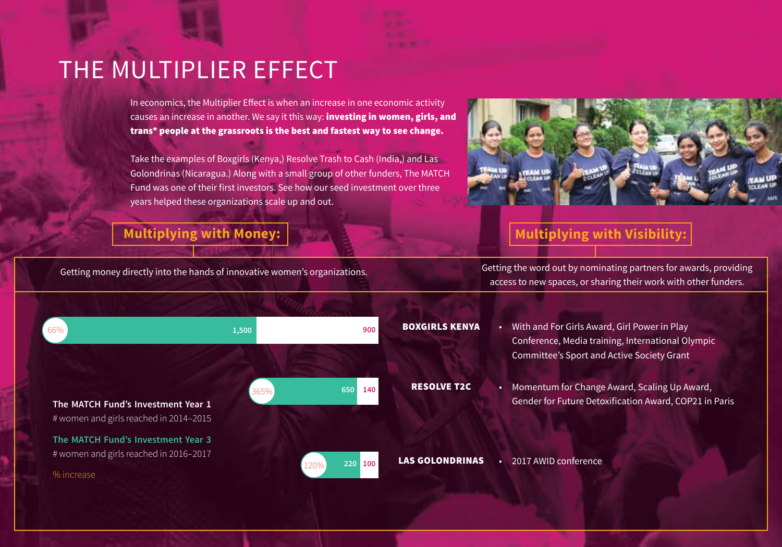### THE MULTIPLIER EFFECT

In economics, the Multiplier Effect is when an increase in one economic activity causes an increase in another. We say it this way: investing in women, girls, and trans\* people at the grassroots is the best and fastest way to see change.

Take the examples of Boxgirls (Kenya,) Resolve Trash to Cash (India,) and Las Golondrinas (Nicaragua.) Along with a small group of other funders, The MATCH Fund was one of their first investors. See how our seed investment over three years helped these organizations scale up and out.



### **Multiplying with Money:**  $\begin{bmatrix} 1 & 1 \end{bmatrix}$  **Multiplying with Visibility:**

Getting money directly into the hands of innovative women's organizations. Getting the word out by nominating partners for awards, providing access to new spaces, or sharing their work with other funders.

| 66%                                                                                        | 1,500 | 900             | <b>BOXGIRLS KENYA</b>  | With and For Girls Award, Girl Power in Play<br>Conference, Media training, International Olympic<br>Committee's Sport and Active Society Grant |
|--------------------------------------------------------------------------------------------|-------|-----------------|------------------------|-------------------------------------------------------------------------------------------------------------------------------------------------|
| The MATCH Fund's Investment Year 1<br># women and girls reached in 2014-2015               | 365%  | 650<br>140      | <b>RESOLVE T2C</b>     | Momentum for Change Award, Scaling Up Award,<br>Gender for Future Detoxification Award, COP21 in Paris                                          |
| The MATCH Fund's Investment Year 3<br># women and girls reached in 2016-2017<br>% increase |       | 220 100<br>120% | <b>LAS GOLONDRINAS</b> | 2017 AWID conference                                                                                                                            |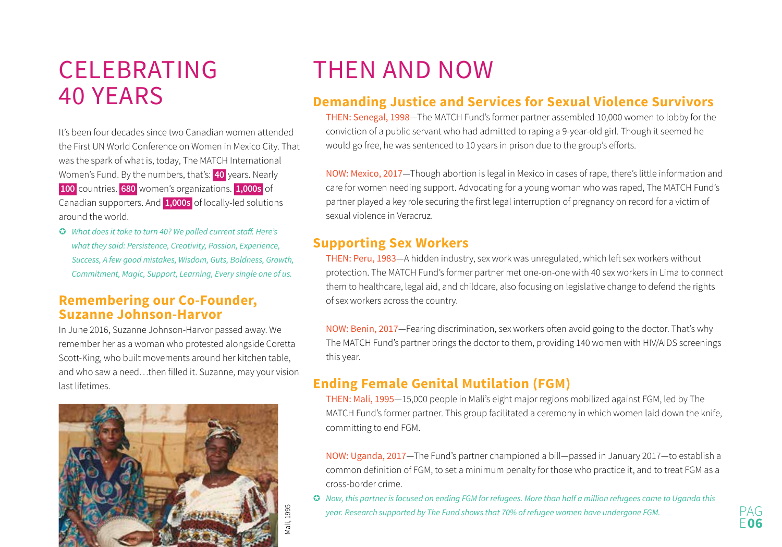### CELEBRATING 40 YEARS

It's been four decades since two Canadian women attended the First UN World Conference on Women in Mexico City. That was the spark of what is, today, The MATCH International Women's Fund. By the numbers, that's: **40** years. Nearly **<sup>100</sup>**countries. **680** women's organizations. **1,000s** of Canadian supporters. And **1,000s** of locally-led solutions around the world.

 What does it take to turn 40? We polled current staff. Here's what they said: Persistence, Creativity, Passion, Experience, Success, A few good mistakes, Wisdom, Guts, Boldness, Growth, Commitment, Magic, Support, Learning, Every single one of us.

#### **Remembering our Co-Founder, Suzanne Johnson-Harvor**

In June 2016, Suzanne Johnson-Harvor passed away. We remember her as a woman who protested alongside Coretta Scott-King, who built movements around her kitchen table, and who saw a need…then filled it. Suzanne, may your vision last lifetimes.



# THEN AND NOW

#### **Demanding Justice and Services for Sexual Violence Survivors**

THEN: Senegal, 1998—The MATCH Fund's former partner assembled 10,000 women to lobby for the conviction of a public servant who had admitted to raping a 9-year-old girl. Though it seemed he would go free, he was sentenced to 10 years in prison due to the group's efforts.

NOW: Mexico, 2017—Though abortion is legal in Mexico in cases of rape, there's little information and care for women needing support. Advocating for a young woman who was raped, The MATCH Fund's partner played a key role securing the first legal interruption of pregnancy on record for a victim of sexual violence in Veracruz.

#### **Supporting Sex Workers**

THEN: Peru, 1983—A hidden industry, sex work was unregulated, which left sex workers without protection. The MATCH Fund's former partner met one-on-one with 40 sex workers in Lima to connect them to healthcare, legal aid, and childcare, also focusing on legislative change to defend the rights of sex workers across the country.

NOW: Benin, 2017—Fearing discrimination, sex workers often avoid going to the doctor. That's why The MATCH Fund's partner brings the doctor to them, providing 140 women with HIV/AIDS screenings this year.

#### **Ending Female Genital Mutilation (FGM)**

THEN: Mali, 1995—15,000 people in Mali's eight major regions mobilized against FGM, led by The MATCH Fund's former partner. This group facilitated a ceremony in which women laid down the knife, committing to end FGM.

NOW: Uganda, 2017—The Fund's partner championed a bill—passed in January 2017—to establish a common definition of FGM, to set a minimum penalty for those who practice it, and to treat FGM as a cross-border crime.

 $\bullet$  Now, this partner is focused on ending FGM for refugees. More than half a million refugees came to Uganda this year. Research supported by The Fund shows that 70% of refugee women have undergone FGM.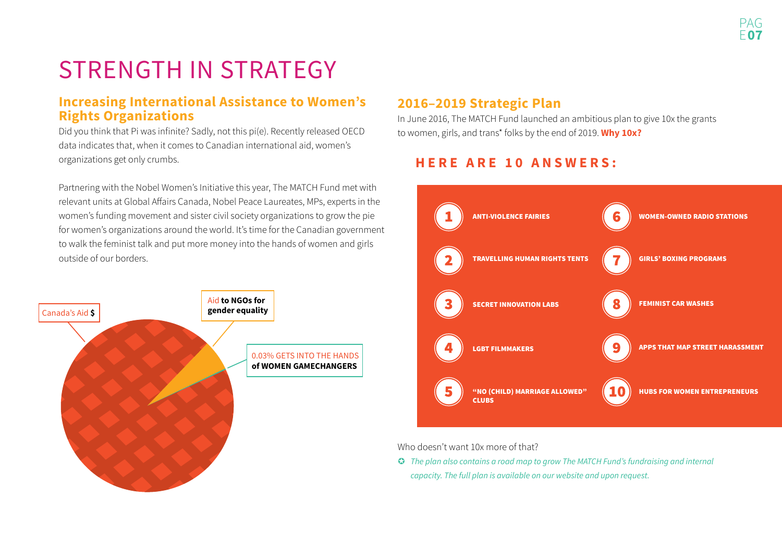# STRENGTH IN STRATEGY

#### **Increasing International Assistance to Women's Rights Organizations**

Did you think that Pi was infinite? Sadly, not this pi(e). Recently released OECD data indicates that, when it comes to Canadian international aid, women's organizations get only crumbs.

Partnering with the Nobel Women's Initiative this year, The MATCH Fund met with relevant units at Global Affairs Canada, Nobel Peace Laureates, MPs, experts in the women's funding movement and sister civil society organizations to grow the pie for women's organizations around the world. It's time for the Canadian government to walk the feminist talk and put more money into the hands of women and girls outside of our borders.



#### **2016–2019 Strategic Plan**

In June 2016, The MATCH Fund launched an ambitious plan to give 10x the grants to women, girls, and trans\* folks by the end of 2019. **Why 10x?**

### **HERE ARE 10 ANSWERS:**



Who doesn't want 10x more of that?

**G** The plan also contains a road map to grow The MATCH Fund's fundraising and internal capacity. The full plan is available on our website and upon request.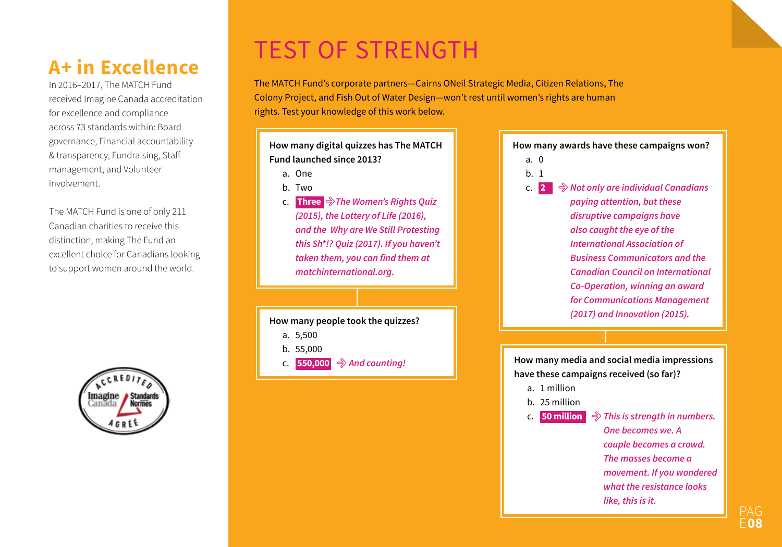### **A+ in Excellence**

In 2016–2017, The MATCH Fund received Imagine Canada accreditation for excellence and compliance across 73 standards within: Board governance, Financial accountability & transparency, Fundraising, Staff management, and Volunteer involvement.

The MATCH Fund is one of only 211 Canadian charities to receive this distinction, making The Fund an excellent choice for Canadians looking to support women around the world.



## TEST OF STRENGTH

The MATCH Fund's corporate partners—Cairns ONeil Strategic Media, Citizen Relations, The Colony Project, and Fish Out of Water Design—won't rest until women's rights are human rights. Test your knowledge of this work below.

**How many digital quizzes has The MATCH Fund launched since 2013?**

a. One

- b. Two
- c. **Three** ;*The Women's Rights Quiz (2015), the Lottery of Life (2016), and the Why are We Still Protesting this Sh\*!? Quiz (2017). If you haven't*  **taken them, you can find them at**  *matchinternational.org.*

- a. 5,500
- b. 55,000
- **c. 550,000** → And counting!

**How many awards have these campaigns won?**

- a. 0
- b. 1

 $c. 2$  **<sup>2</sup>**; *Not only are individual Canadians paying attention, but these disruptive campaigns have also caught the eye of the International Association of Business Communicators and the Canadian Council on International Co-Operation, winning an award for Communications Management (2017) and Innovation (2015).* **How many people took the quizzes?**

> **How many media and social media impressions have these campaigns received (so far)?**

- a. 1 million
- b. 25 million

c. **50 million** ; *This is strength in numbers. One becomes we. A couple becomes a crowd.* 

*The masses become a movement. If you wondered what the resistance looks like, this is it.*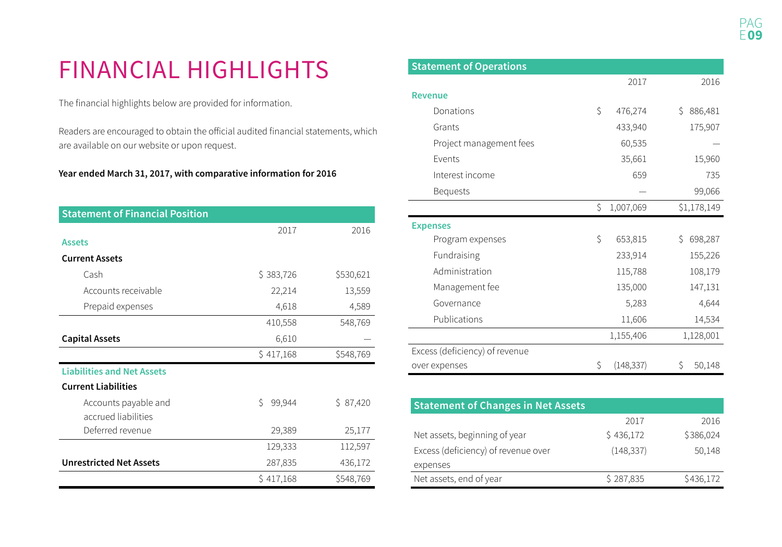# FINANCIAL HIGHLIGHTS

The financial highlights below are provided for information.

Readers are encouraged to obtain the official audited financial statements, which are available on our website or upon request.

#### **Year ended March 31, 2017, with comparative information for 2016**

| <b>Statement of Financial Position</b>      |              |           |
|---------------------------------------------|--------------|-----------|
|                                             | 2017         | 2016      |
| <b>Assets</b>                               |              |           |
| <b>Current Assets</b>                       |              |           |
| Cash                                        | \$383,726    | \$530,621 |
| Accounts receivable                         | 22,214       | 13,559    |
| Prepaid expenses                            | 4,618        | 4,589     |
|                                             | 410,558      | 548,769   |
| <b>Capital Assets</b>                       | 6,610        |           |
|                                             | \$417,168    | \$548,769 |
| <b>Liabilities and Net Assets</b>           |              |           |
| <b>Current Liabilities</b>                  |              |           |
| Accounts payable and<br>accrued liabilities | Ś.<br>99,944 | \$87,420  |
| Deferred revenue                            | 29,389       | 25,177    |
|                                             | 129,333      | 112,597   |
| <b>Unrestricted Net Assets</b>              | 287,835      | 436,172   |
|                                             | \$417,168    | \$548,769 |

| <b>Statement of Operations</b> |    |            |               |
|--------------------------------|----|------------|---------------|
|                                |    | 2017       | 2016          |
| <b>Revenue</b>                 |    |            |               |
| Donations                      | Ś  | 476,274    | 886,481<br>S. |
| Grants                         |    | 433,940    | 175,907       |
| Project management fees        |    | 60,535     |               |
| Events                         |    | 35,661     | 15,960        |
| Interest income                |    | 659        | 735           |
| <b>Bequests</b>                |    |            | 99,066        |
|                                | Ś  | 1,007,069  | \$1,178,149   |
| <b>Expenses</b>                |    |            |               |
| Program expenses               | \$ | 653,815    | 698,287<br>Ŝ. |
| Fundraising                    |    | 233,914    | 155,226       |
| Administration                 |    | 115,788    | 108,179       |
| Management fee                 |    | 135,000    | 147,131       |
| Governance                     |    | 5,283      | 4,644         |
| Publications                   |    | 11,606     | 14,534        |
|                                |    | 1,155,406  | 1,128,001     |
| Excess (deficiency) of revenue |    |            |               |
| over expenses                  | Ŝ. | (148, 337) | 50,148<br>S   |

| <b>Statement of Changes in Net Assets</b> |            |           |  |  |  |  |  |
|-------------------------------------------|------------|-----------|--|--|--|--|--|
|                                           | 2017       | 2016      |  |  |  |  |  |
| Net assets, beginning of year             | \$436,172  | \$386,024 |  |  |  |  |  |
| Excess (deficiency) of revenue over       | (148, 337) | 50,148    |  |  |  |  |  |
| expenses                                  |            |           |  |  |  |  |  |
| Net assets, end of year                   | \$287,835  | \$436,172 |  |  |  |  |  |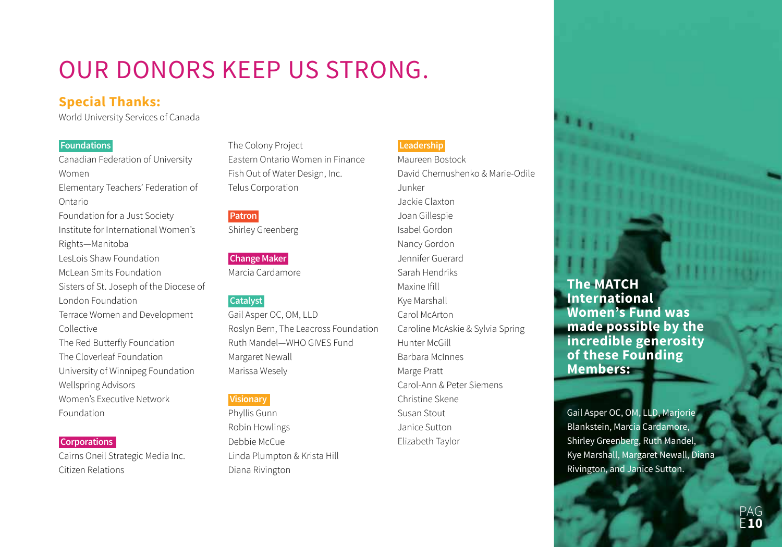# OUR DONORS KEEP US STRONG.

#### **Special Thanks:**

World University Services of Canada

#### **Foundations**

Canadian Federation of University WomenElementary Teachers' Federation of OntarioFoundation for a Just Society Institute for International Women's Rights—Manitoba LesLois Shaw FoundationMcLean Smits FoundationSisters of St. Joseph of the Diocese of London FoundationTerrace Women and Development Collective The Red Butterfly Foundation The Cloverleaf FoundationUniversity of Winnipeg Foundation Wellspring Advisors Women's Executive Network Foundation

#### **Corporations**

Cairns Oneil Strategic Media Inc. Citizen Relations

The Colony Project Eastern Ontario Women in Finance Fish Out of Water Design, Inc. Telus Corporation

#### **Patron**

Shirley Greenberg

#### **Change Maker**

Marcia Cardamore

#### **Catalyst**

Gail Asper OC, OM, LLD Roslyn Bern, The Leacross Foundation Ruth Mandel—WHO GIVES FundMargaret Newall Marissa Wesely

#### **Visionary**

Phyllis Gunn Robin Howlings Debbie McCueLinda Plumpton & Krista Hill Diana Rivington

#### **Leadership**

Maureen BostockDavid Chernushenko & Marie-Odile JunkerJackie ClaxtonJoan Gillespie Isabel GordonNancy Gordon Jennifer GuerardSarah Hendriks Maxine IfillKye Marshall Carol McArtonCaroline McAskie & Sylvia Spring Hunter McGillBarbara McInnesMarge Pratt Carol-Ann & Peter Siemens Christine Skene Susan StoutJanice SuttonElizabeth Taylor

#### **The MATCH International Women's Fund was made possible by the incredible generosity of these Founding Members:**

Gail Asper OC, OM, LLD, Marjorie Blankstein, Marcia Cardamore, Shirley Greenberg, Ruth Mandel, Kye Marshall, Margaret Newall, Diana Rivington, and Janice Sutton.

> PAGE**10**